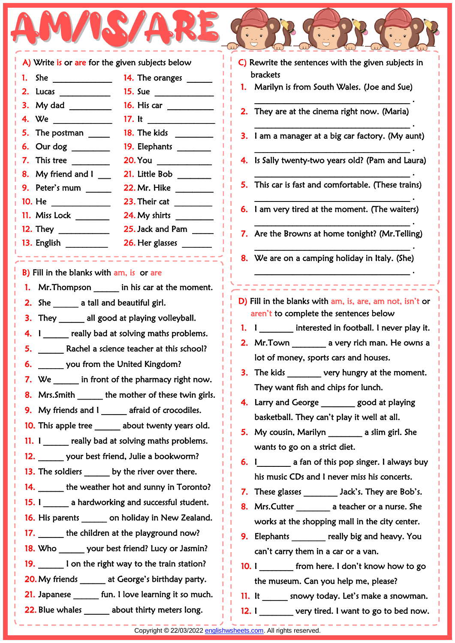|                                                          | $\bullet$          |
|----------------------------------------------------------|--------------------|
| A) Write is or are for the given subjects below          | C) Rewrite         |
| 14. The oranges ______                                   | bracket            |
| 2. Lucas                                                 | 1. Marily          |
| 16. His car                                              |                    |
| 17. It $\qquad \qquad$                                   | 2. They $\alpha$   |
|                                                          | <b>3.</b> lama     |
| 6. Our dog ________<br>19. Elephants _______             |                    |
| 7. This tree<br>20.You ___________                       | 4. Is Sally        |
| 8. My friend and l<br>21. Little Bob _______             |                    |
| 9. Peter's mum                                           | 5. This ca         |
|                                                          | 6. $l$ am $v$      |
| 24. My shirts ________                                   |                    |
| 25. Jack and Pam _____                                   | 7. Are th          |
|                                                          |                    |
| -------------------                                      | 8. We ar           |
| B) Fill in the blanks with am, is or are                 |                    |
| 1. Mr. Thompson _______ in his car at the moment.        |                    |
| 2. She ________ a tall and beautiful girl.               | D) Fill in th      |
| <b>3.</b> They _______ all good at playing volleyball.   | aren't t           |
| 4. I really bad at solving maths problems.               |                    |
| Rachel a science teacher at this school?<br>5.           | 2. Mr.To           |
| 6. _______ you from the United Kingdom?<br>o.            | lot of             |
| 7. We in front of the pharmacy right now.                | 3. The ki          |
| Mrs. Smith _______ the mother of these twin girls.<br>8. | They \             |
| 9. My friends and I ______ afraid of crocodiles.         | 4.<br>Larry a      |
| 10. This apple tree ______ about twenty years old.       | basket             |
|                                                          | My co<br>5.        |
| 11. I really bad at solving maths problems.              | wants              |
| 12. ______ your best friend, Julie a bookworm?           | 6.                 |
| 13. The soldiers ______ by the river over there.         | his mu             |
| 14. ______ the weather hot and sunny in Toronto?         | <b>These</b><br>7. |
| 15. I a hardworking and successful student.              | 8. Mrs.C           |
| 16. His parents _______ on holiday in New Zealand.       | works              |
| 17. the children at the playground now?                  | Elepha<br>9.       |
| 18. Who _______ your best friend? Lucy or Jasmin?        | can't c            |
| 19. I on the right way to the train station?             | 10.1               |
| 20. My friends ______ at George's birthday party.        | the mi             |
| 21. Japanese _______ fun. I love learning it so much.    | $11.$ It           |

22. Blue whales about thirty meters long.

J

- the sentences with the given subjects in brackets In is from South Wales. (Joe and Sue) \_\_\_\_\_\_\_\_\_\_\_\_\_\_\_\_\_\_\_\_\_\_\_\_\_\_\_\_\_\_\_\_\_\_\_\_\_ . are at the cinema right now. (Maria) \_\_\_\_\_\_\_\_\_\_\_\_\_\_\_\_\_\_\_\_\_\_\_\_\_\_\_\_\_\_\_\_\_\_\_\_\_ . manager at a big car factory. (My aunt)  $\overline{\phantom{a}}$  . The contract of the contract of the contract of the contract of the contract of the contract of the contract of the contract of the contract of the contract of the contract of the contract of the contract of 4. Is Sally twenty-two years old? (Pam and Laura) \_\_\_\_\_\_\_\_\_\_\_\_\_\_\_\_\_\_\_\_\_\_\_\_\_\_\_\_\_\_\_\_\_\_\_\_\_ . ar is fast and comfortable. (These trains)  $\overline{\phantom{a}}$  . The contract of the contract of the contract of the contract of the contract of the contract of the contract of the contract of the contract of the contract of the contract of the contract of the contract of ery tired at the moment. (The waiters)  $\overline{\phantom{a}}$  . The contract of the contract of the contract of the contract of the contract of the contract of the contract of the contract of the contract of the contract of the contract of the contract of the contract of e Browns at home tonight? (Mr.Telling) \_\_\_\_\_\_\_\_\_\_\_\_\_\_\_\_\_\_\_\_\_\_\_\_\_\_\_\_\_\_\_\_\_\_\_\_\_ . e on a camping holiday in Italy. (She)  $\overline{\phantom{a}}$  . The contract of the contract of the contract of the contract of the contract of the contract of the contract of the contract of the contract of the contract of the contract of the contract of the contract of ,,,,,,,,,,,,,,,, he blanks with am, is, are, am not, isn't or to complete the sentences below interested in football. I never play it. wn. Town a very rich man. He owns a money, sports cars and houses. ds every hungry at the moment. want fish and chips for lunch. and George \_\_\_\_\_\_\_\_ good at playing ball. They can't play it well at all. 5. My cousin, Marilyn \_\_\_\_\_\_\_\_ a slim girl. She to go on a strict diet. a fan of this pop singer. I always buy usic CDs and I never miss his concerts. glasses Jack's. They are Bob's. utter **8. Mrs.** a teacher or a nurse. She at the shopping mall in the city center. ants **Elephants** really big and heavy. You carry them in a car or a van. from here. I don't know how to go useum. Can you help me, please?
	- snowy today. Let's make a snowman.
	- 12. I wery tired. I want to go to bed now.